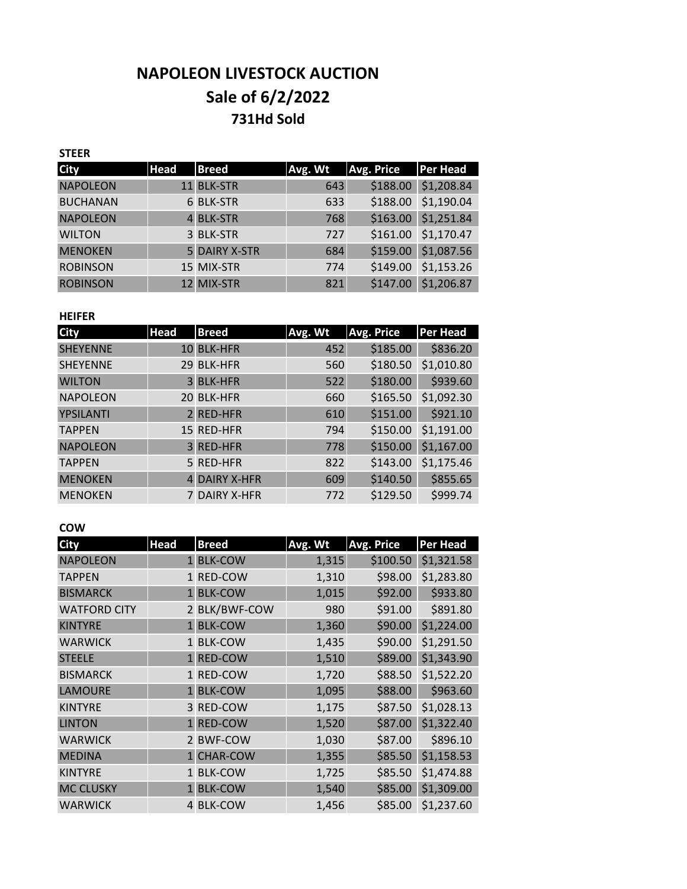# **NAPOLEON LIVESTOCK AUCTION Sale of 6/2/2022 731Hd Sold**

#### **STEER**

| <b>City</b>     | <b>Head</b> | <b>Breed</b>         | Avg. Wt | <b>Avg. Price</b> | Per Head   |
|-----------------|-------------|----------------------|---------|-------------------|------------|
| <b>NAPOLEON</b> |             | 11 BLK-STR           | 643     | \$188.00          | \$1,208.84 |
| <b>BUCHANAN</b> |             | 6 BLK-STR            | 633     | \$188.00          | \$1,190.04 |
| <b>NAPOLEON</b> |             | 4 BLK-STR            | 768     | \$163.00          | \$1,251.84 |
| <b>WILTON</b>   |             | 3 BLK-STR            | 727     | \$161.00          | \$1,170.47 |
| <b>MENOKEN</b>  |             | <b>5 DAIRY X-STR</b> | 684     | \$159.00          | \$1,087.56 |
| <b>ROBINSON</b> |             | 15 MIX-STR           | 774     | \$149.00          | \$1,153.26 |
| <b>ROBINSON</b> |             | 12 MIX-STR           | 821     | \$147.00          | \$1,206.87 |

#### **HEIFER**

| <b>City</b>     | <b>Head</b> | <b>Breed</b>         | Avg. Wt | <b>Avg. Price</b> | <b>Per Head</b> |
|-----------------|-------------|----------------------|---------|-------------------|-----------------|
| <b>SHEYENNE</b> |             | 10 BLK-HFR           | 452     | \$185.00          | \$836.20        |
| <b>SHEYENNE</b> | 29          | <b>BLK-HFR</b>       | 560     | \$180.50          | \$1,010.80      |
| <b>WILTON</b>   |             | 3 BLK-HFR            | 522     | \$180.00          | \$939.60        |
| <b>NAPOLEON</b> | 20          | <b>BLK-HFR</b>       | 660     | \$165.50          | \$1,092.30      |
| YPSILANTI       |             | 2 RED-HFR            | 610     | \$151.00          | \$921.10        |
| <b>TAPPEN</b>   |             | 15 RED-HFR           | 794     | \$150.00          | \$1,191.00      |
| <b>NAPOLEON</b> |             | 3 RED-HFR            | 778     | \$150.00          | \$1,167.00      |
| <b>TAPPEN</b>   |             | 5 RED-HFR            | 822     | \$143.00          | \$1,175.46      |
| <b>MENOKEN</b>  |             | <b>4 DAIRY X-HFR</b> | 609     | \$140.50          | \$855.65        |
| <b>MENOKEN</b>  |             | 7 DAIRY X-HFR        | 772     | \$129.50          | \$999.74        |

### **COW**

| <b>City</b>         | <b>Head</b>     | <b>Breed</b>   | Avg. Wt | <b>Avg. Price</b> | <b>Per Head</b> |
|---------------------|-----------------|----------------|---------|-------------------|-----------------|
| <b>NAPOLEON</b>     |                 | 1 BLK-COW      | 1,315   | \$100.50          | \$1,321.58      |
| <b>TAPPEN</b>       | $\mathbf{1}$    | RED-COW        | 1,310   | \$98.00           | \$1,283.80      |
| <b>BISMARCK</b>     | $1\overline{ }$ | <b>BLK-COW</b> | 1,015   | \$92.00           | \$933.80        |
| <b>WATFORD CITY</b> |                 | 2 BLK/BWF-COW  | 980     | \$91.00           | \$891.80        |
| <b>KINTYRE</b>      |                 | 1 BLK-COW      | 1,360   | \$90.00           | \$1,224.00      |
| <b>WARWICK</b>      |                 | 1 BLK-COW      | 1,435   | \$90.00           | \$1,291.50      |
| <b>STEELE</b>       |                 | 1 RED-COW      | 1,510   | \$89.00           | \$1,343.90      |
| <b>BISMARCK</b>     |                 | 1 RED-COW      | 1,720   | \$88.50           | \$1,522.20      |
| <b>LAMOURE</b>      |                 | 1 BLK-COW      | 1,095   | \$88.00           | \$963.60        |
| <b>KINTYRE</b>      | 3               | <b>RED-COW</b> | 1,175   | \$87.50           | \$1,028.13      |
| <b>LINTON</b>       |                 | 1 RED-COW      | 1,520   | \$87.00           | \$1,322.40      |
| <b>WARWICK</b>      |                 | 2 BWF-COW      | 1,030   | \$87.00           | \$896.10        |
| <b>MEDINA</b>       |                 | 1 CHAR-COW     | 1,355   | \$85.50           | \$1,158.53      |
| <b>KINTYRE</b>      |                 | 1 BLK-COW      | 1,725   | \$85.50           | \$1,474.88      |
| <b>MC CLUSKY</b>    |                 | 1 BLK-COW      | 1,540   | \$85.00           | \$1,309.00      |
| <b>WARWICK</b>      | 4               | <b>BLK-COW</b> | 1,456   | \$85.00           | \$1,237.60      |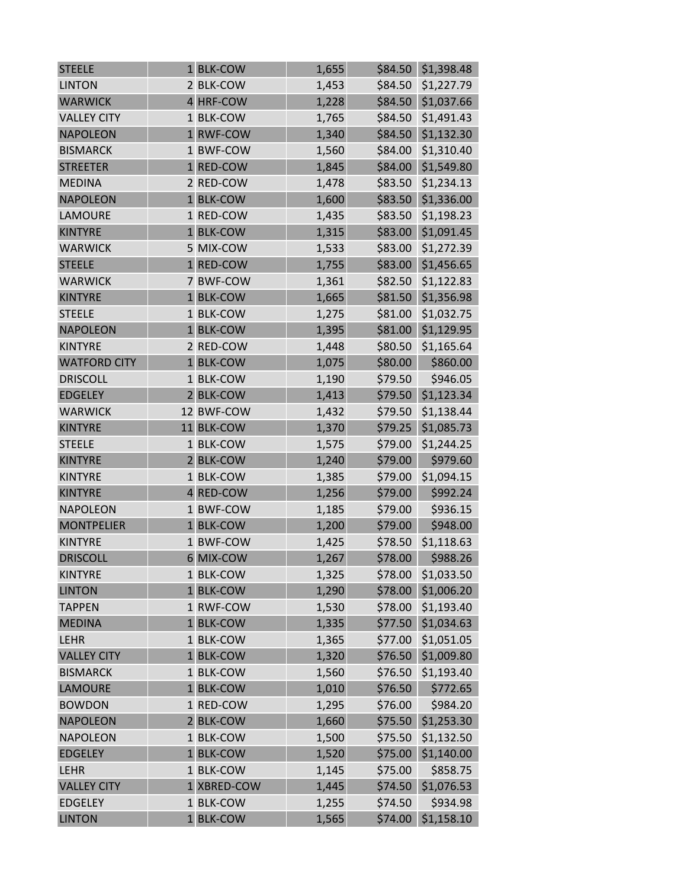| <b>STEELE</b>       | 1 BLK-COW   | 1,655 | \$84.50 | \$1,398.48 |
|---------------------|-------------|-------|---------|------------|
| <b>LINTON</b>       | 2 BLK-COW   | 1,453 | \$84.50 | \$1,227.79 |
| <b>WARWICK</b>      | 4 HRF-COW   | 1,228 | \$84.50 | \$1,037.66 |
| <b>VALLEY CITY</b>  | 1 BLK-COW   | 1,765 | \$84.50 | \$1,491.43 |
| <b>NAPOLEON</b>     | 1 RWF-COW   | 1,340 | \$84.50 | \$1,132.30 |
| <b>BISMARCK</b>     | 1 BWF-COW   | 1,560 | \$84.00 | \$1,310.40 |
| <b>STREETER</b>     | 1 RED-COW   | 1,845 | \$84.00 | \$1,549.80 |
| <b>MEDINA</b>       | 2 RED-COW   | 1,478 | \$83.50 | \$1,234.13 |
| <b>NAPOLEON</b>     | 1 BLK-COW   | 1,600 | \$83.50 | \$1,336.00 |
| <b>LAMOURE</b>      | 1 RED-COW   | 1,435 | \$83.50 | \$1,198.23 |
| <b>KINTYRE</b>      | 1 BLK-COW   | 1,315 | \$83.00 | \$1,091.45 |
| <b>WARWICK</b>      | 5 MIX-COW   | 1,533 | \$83.00 | \$1,272.39 |
| <b>STEELE</b>       | 1 RED-COW   | 1,755 | \$83.00 | \$1,456.65 |
| <b>WARWICK</b>      | 7 BWF-COW   | 1,361 | \$82.50 | \$1,122.83 |
| <b>KINTYRE</b>      | 1 BLK-COW   | 1,665 | \$81.50 | \$1,356.98 |
| <b>STEELE</b>       | 1 BLK-COW   | 1,275 | \$81.00 | \$1,032.75 |
| <b>NAPOLEON</b>     | 1 BLK-COW   | 1,395 | \$81.00 | \$1,129.95 |
| <b>KINTYRE</b>      | 2 RED-COW   | 1,448 | \$80.50 | \$1,165.64 |
| <b>WATFORD CITY</b> | 1 BLK-COW   | 1,075 | \$80.00 | \$860.00   |
| <b>DRISCOLL</b>     | 1 BLK-COW   | 1,190 | \$79.50 | \$946.05   |
| <b>EDGELEY</b>      | 2 BLK-COW   | 1,413 | \$79.50 | \$1,123.34 |
| <b>WARWICK</b>      | 12 BWF-COW  | 1,432 | \$79.50 | \$1,138.44 |
| <b>KINTYRE</b>      | 11 BLK-COW  | 1,370 | \$79.25 | \$1,085.73 |
| <b>STEELE</b>       | 1 BLK-COW   | 1,575 | \$79.00 | \$1,244.25 |
| <b>KINTYRE</b>      | 2 BLK-COW   | 1,240 | \$79.00 | \$979.60   |
| <b>KINTYRE</b>      | 1 BLK-COW   | 1,385 | \$79.00 | \$1,094.15 |
| <b>KINTYRE</b>      | 4 RED-COW   | 1,256 | \$79.00 | \$992.24   |
| <b>NAPOLEON</b>     | 1 BWF-COW   | 1,185 | \$79.00 | \$936.15   |
| <b>MONTPELIER</b>   | 1 BLK-COW   | 1,200 | \$79.00 | \$948.00   |
| <b>KINTYRE</b>      | 1 BWF-COW   | 1,425 | \$78.50 | \$1,118.63 |
| <b>DRISCOLL</b>     | 6 MIX-COW   | 1,267 | \$78.00 | \$988.26   |
| <b>KINTYRE</b>      | 1 BLK-COW   | 1,325 | \$78.00 | \$1,033.50 |
| <b>LINTON</b>       | 1 BLK-COW   | 1,290 | \$78.00 | \$1,006.20 |
| <b>TAPPEN</b>       | 1 RWF-COW   | 1,530 | \$78.00 | \$1,193.40 |
| <b>MEDINA</b>       | 1 BLK-COW   | 1,335 | \$77.50 | \$1,034.63 |
| <b>LEHR</b>         | 1 BLK-COW   | 1,365 | \$77.00 | \$1,051.05 |
| <b>VALLEY CITY</b>  | 1 BLK-COW   | 1,320 | \$76.50 | \$1,009.80 |
| <b>BISMARCK</b>     | 1 BLK-COW   | 1,560 | \$76.50 | \$1,193.40 |
| <b>LAMOURE</b>      | 1 BLK-COW   | 1,010 | \$76.50 | \$772.65   |
| <b>BOWDON</b>       | 1 RED-COW   | 1,295 | \$76.00 | \$984.20   |
| <b>NAPOLEON</b>     | 2 BLK-COW   | 1,660 | \$75.50 | \$1,253.30 |
| <b>NAPOLEON</b>     | 1 BLK-COW   | 1,500 | \$75.50 | \$1,132.50 |
| <b>EDGELEY</b>      | 1 BLK-COW   | 1,520 | \$75.00 | \$1,140.00 |
| LEHR                | 1 BLK-COW   | 1,145 | \$75.00 | \$858.75   |
| <b>VALLEY CITY</b>  | 1 XBRED-COW | 1,445 | \$74.50 | \$1,076.53 |
| <b>EDGELEY</b>      | 1 BLK-COW   | 1,255 | \$74.50 | \$934.98   |
| <b>LINTON</b>       | 1 BLK-COW   | 1,565 | \$74.00 | \$1,158.10 |